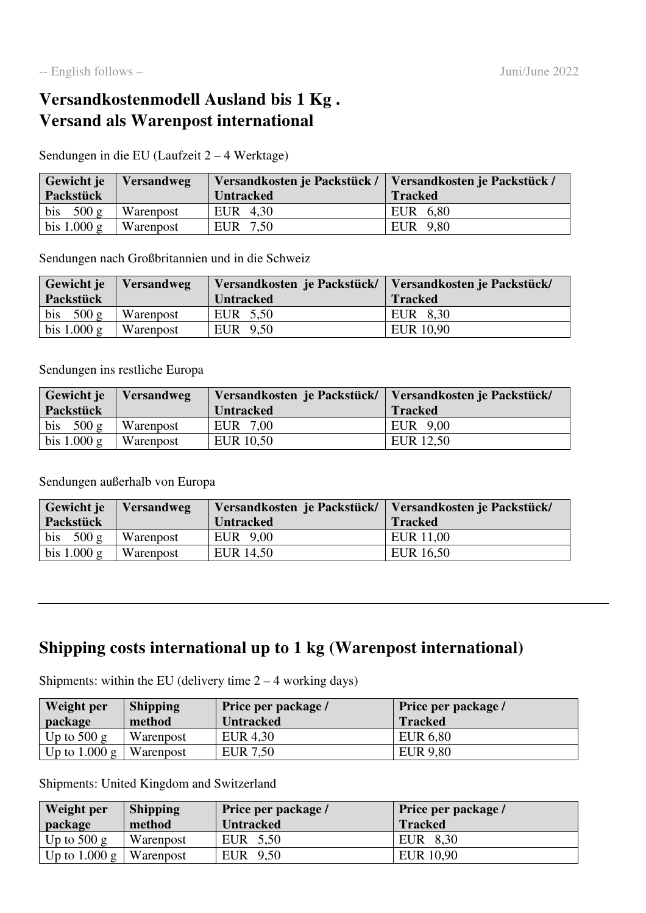## **Versandkostenmodell Ausland bis 1 Kg . Versand als Warenpost international**

Sendungen in die EU (Laufzeit 2 – 4 Werktage)

| Gewicht je    | <i>Versandweg</i> | Versandkosten je Packstück /   Versandkosten je Packstück / |                |
|---------------|-------------------|-------------------------------------------------------------|----------------|
| Packstück     |                   | <b>Untracked</b>                                            | <b>Tracked</b> |
| bis $500 g$   | <b>Warenpost</b>  | EUR 4,30                                                    | EUR 6,80       |
| bis $1.000 g$ | Warenpost         | EUR 7.50                                                    | EUR 9.80       |

Sendungen nach Großbritannien und in die Schweiz

| Gewicht je    | <b>Versandweg</b> | Versandkosten je Packstück/   Versandkosten je Packstück/ |                  |
|---------------|-------------------|-----------------------------------------------------------|------------------|
| Packstück     |                   | <b>Untracked</b>                                          | <b>Tracked</b>   |
| bis $500 g$   | <b>Warenpost</b>  | EUR 5.50                                                  | EUR 8,30         |
| bis $1.000 g$ | Warenpost         | EUR 9.50                                                  | <b>EUR</b> 10,90 |

Sendungen ins restliche Europa

| Gewicht je    | <b>Versandweg</b> | Versandkosten je Packstück/ | Versandkosten je Packstück/ |
|---------------|-------------------|-----------------------------|-----------------------------|
| Packstück     |                   | <b>Untracked</b>            | <b>Tracked</b>              |
| bis $500 g$   | Warenpost         | EUR 7,00                    | EUR 9,00                    |
| bis $1.000 g$ | Warenpost         | EUR 10,50                   | EUR 12,50                   |

Sendungen außerhalb von Europa

| Gewicht je    | <i>Versandweg</i> | Versandkosten je Packstück/ | Versandkosten je Packstück/ |
|---------------|-------------------|-----------------------------|-----------------------------|
| Packstück     |                   | <b>Untracked</b>            | <b>Tracked</b>              |
| bis $500 g$   | Warenpost         | EUR 9,00                    | EUR 11,00                   |
| bis $1.000 g$ | <b>Warenpost</b>  | EUR 14,50                   | EUR 16,50                   |

## **Shipping costs international up to 1 kg (Warenpost international)**

Shipments: within the EU (delivery time  $2 - 4$  working days)

| Weight per<br>package | <b>Shipping</b><br>method | Price per package /<br><b>Untracked</b> | Price per package /<br><b>Tracked</b> |
|-----------------------|---------------------------|-----------------------------------------|---------------------------------------|
| Up to $500 g$         | Warenpost                 | EUR 4,30                                | <b>EUR 6,80</b>                       |
| Up to $1.000 g$       | Warenpost                 | EUR 7,50                                | <b>EUR 9.80</b>                       |

Shipments: United Kingdom and Switzerland

| Weight per              | <b>Shipping</b> | <b>Price per package</b> / | Price per package / |
|-------------------------|-----------------|----------------------------|---------------------|
| package                 | method          | <b>Untracked</b>           | <b>Tracked</b>      |
| Up to $500 g$           | Warenpost       | EUR 5,50                   | EUR 8,30            |
| Up to $1.000 \text{ g}$ | Warenpost       | EUR 9,50                   | EUR 10,90           |